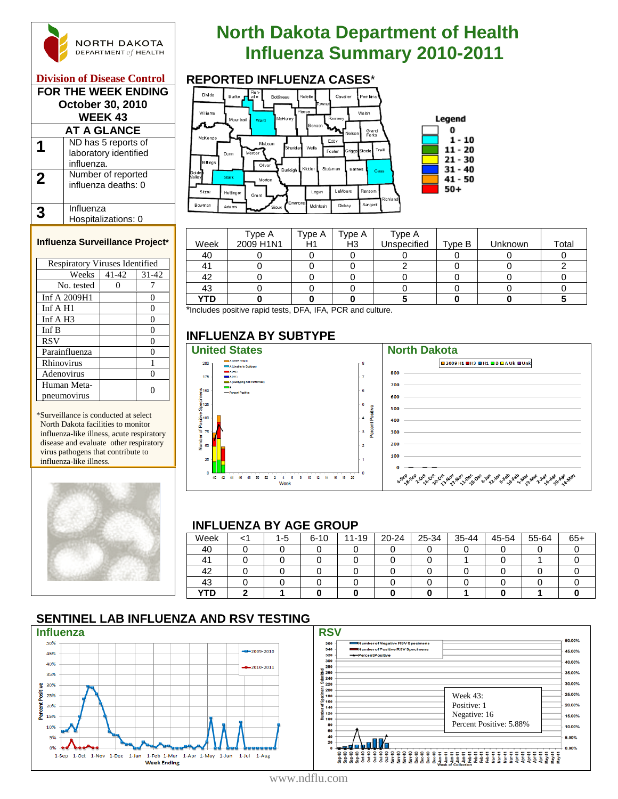

#### **Division of Disease Control MEEK ENDING**

| FUK THE WEEK ENDING<br>October 30, 2010<br><b>WEEK 43</b> |                                                            |  |  |  |  |  |
|-----------------------------------------------------------|------------------------------------------------------------|--|--|--|--|--|
| AT A GLANCE                                               |                                                            |  |  |  |  |  |
|                                                           | ND has 5 reports of<br>laboratory identified<br>influenza. |  |  |  |  |  |
| 2                                                         | Number of reported<br>influenza deaths: 0                  |  |  |  |  |  |
|                                                           | Influenza<br>Hospitalizations: 0                           |  |  |  |  |  |

#### **Influenza Surveillance Project\***

| <b>Respiratory Viruses Identified</b> |       |           |  |  |  |  |  |
|---------------------------------------|-------|-----------|--|--|--|--|--|
| Weeks                                 | 41-42 | $31 - 42$ |  |  |  |  |  |
| No. tested                            |       |           |  |  |  |  |  |
| Inf A 2009H1                          |       | 0         |  |  |  |  |  |
| Inf $A$ H <sub>1</sub>                |       | 0         |  |  |  |  |  |
| Inf $A$ H <sub>3</sub>                |       | 0         |  |  |  |  |  |
| Inf B                                 |       | 0         |  |  |  |  |  |
| <b>RSV</b>                            |       | 0         |  |  |  |  |  |
| Parainfluenza                         |       | 0         |  |  |  |  |  |
| Rhinovirus                            |       |           |  |  |  |  |  |
| Adenovirus                            |       |           |  |  |  |  |  |
| Human Meta-                           |       |           |  |  |  |  |  |
| pneumovirus                           |       |           |  |  |  |  |  |

\*Surveillance is conducted at select North Dakota facilities to monitor influenza-like illness, acute respiratory disease and evaluate other respiratory virus pathogens that contribute to influenza-like illness.



# **North Dakota Department of Health INGRTH DAKOTA**<br> **Influenza Summary 2010-2011**<br> **Influenza Cases**



|            | Type A    | Type A | Type A | Type A      |        |         |       |
|------------|-----------|--------|--------|-------------|--------|---------|-------|
| Week       | 2009 H1N1 | H1     | H3     | Unspecified | Type B | Unknown | Total |
| 40         |           |        |        |             |        |         |       |
|            |           |        |        |             |        |         |       |
| 42         |           |        |        |             |        |         |       |
| 43         |           |        |        |             |        |         |       |
| <b>YTD</b> |           |        |        |             |        |         |       |

\*Includes positive rapid tests, DFA, IFA, PCR and culture.

## **INFLUENZA BY SUBTYPE**



#### **INFLUENZA BY AGE GROUP**

| = = == = = = = |  |     |          |           |       |       |       |       |       |       |
|----------------|--|-----|----------|-----------|-------|-------|-------|-------|-------|-------|
| Week           |  | 1-5 | $6 - 10$ | $11 - 19$ | 20-24 | 25-34 | 35-44 | 45-54 | 55-64 | $65+$ |
| 40             |  |     |          |           |       |       |       |       |       |       |
|                |  |     |          |           |       |       |       |       |       |       |
| 42             |  |     |          |           |       |       |       |       |       |       |
| 43             |  |     |          |           |       |       |       |       |       |       |
| YTD            |  |     |          |           |       |       |       |       |       |       |

### **SENTINEL LAB INFLUENZA AND RSV TESTING**